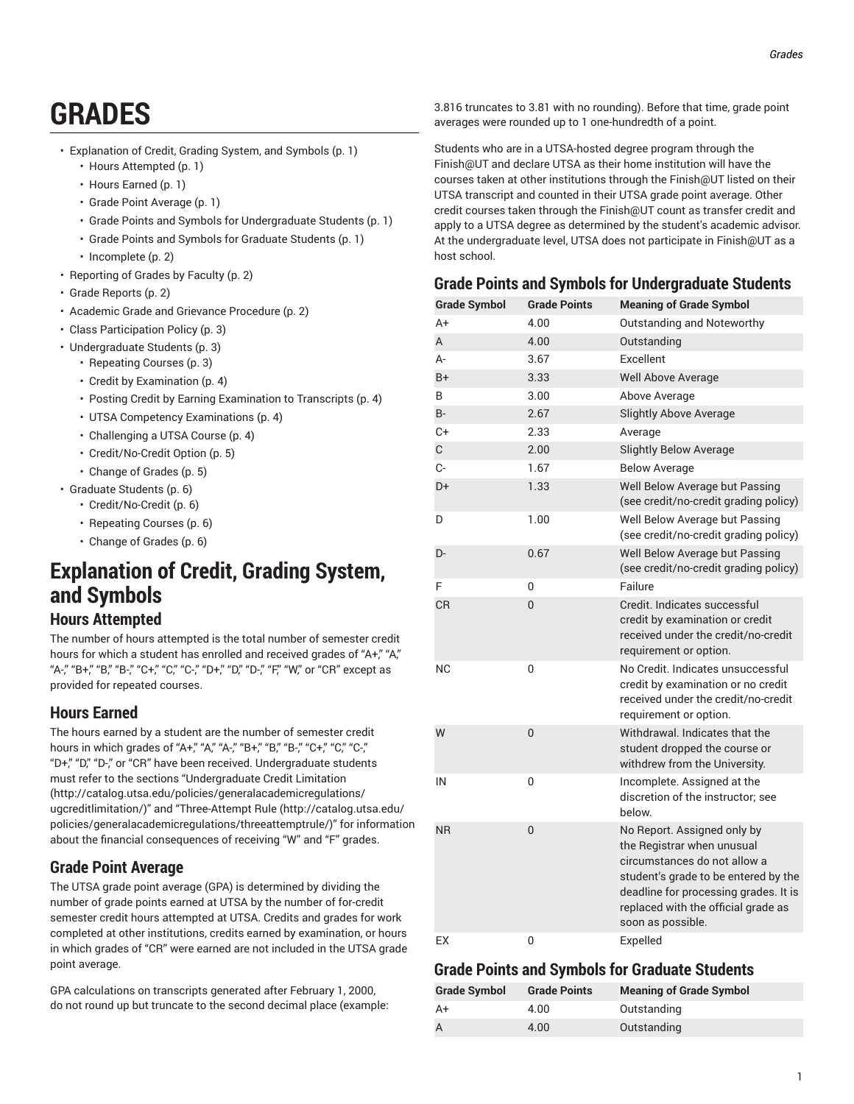# **GRADES**

- [Explanation](#page-0-0) of Credit, Grading System, and Symbols ([p. 1\)](#page-0-0)
	- Hours [Attempted \(p. 1](#page-0-1))
	- [Hours Earned \(p. 1\)](#page-0-2)
	- Grade Point [Average \(p. 1](#page-0-3))
	- Grade Points and Symbols for [Undergraduate](#page-0-4) Students ([p. 1\)](#page-0-4)
	- Grade Points and Symbols for [Graduate](#page-0-5) Students [\(p. 1\)](#page-0-5)
	- [Incomplete](#page-1-0) ([p. 2](#page-1-0))
- [Reporting](#page-1-1) of Grades by Faculty ([p. 2\)](#page-1-1)
- Grade [Reports \(p. 2](#page-1-2))
- Academic Grade and Grievance [Procedure](#page-1-3) ([p. 2\)](#page-1-3)
- Class [Participation](#page-2-0) Policy [\(p. 3\)](#page-2-0)
- [Undergraduate](#page-2-1) Students ([p. 3\)](#page-2-1)
	- [Repeating Courses](#page-2-2) ([p. 3\)](#page-2-2)
	- Credit by [Examination \(p. 4](#page-3-0))
	- Posting Credit by Earning [Examination](#page-3-1) to Transcripts [\(p. 4](#page-3-1))
	- UTSA Competency [Examinations](#page-3-2) ([p. 4](#page-3-2))
	- [Challenging](#page-3-3) a UTSA Course ([p. 4](#page-3-3))
	- [Credit/No-Credit](#page-4-0) Option ([p. 5\)](#page-4-0)
	- [Change of Grades](#page-4-1) ([p. 5\)](#page-4-1)
- [Graduate Students \(p. 6](#page-5-0))
	- [Credit/No-Credit](#page-5-1) ([p. 6](#page-5-1))
	- [Repeating Courses](#page-5-2) ([p. 6\)](#page-5-2)
	- [Change of Grades](#page-5-3) ([p. 6\)](#page-5-3)

## <span id="page-0-0"></span>**Explanation of Credit, Grading System, and Symbols**

## <span id="page-0-1"></span>**Hours Attempted**

The number of hours attempted is the total number of semester credit hours for which a student has enrolled and received grades of "A+", "A", "A-," "B+," "B," "B-," "C+," "C," "C-," "D+," "D," "D-," "F," "W," or "CR" except as provided for repeated courses.

## <span id="page-0-2"></span>**Hours Earned**

The hours earned by a student are the number of semester credit hours in which grades of "A+," "A," "A-," "B+," "B-," "C+," "C," "C-," "D+," "D," "D-," or "CR" have been received. Undergraduate students must refer to the sections ["Undergraduate](http://catalog.utsa.edu/policies/generalacademicregulations/ugcreditlimitation/) Credit Limitation ([http://catalog.utsa.edu/policies/generalacademicregulations/](http://catalog.utsa.edu/policies/generalacademicregulations/ugcreditlimitation/) [ugcreditlimitation/\)](http://catalog.utsa.edu/policies/generalacademicregulations/ugcreditlimitation/)" and "[Three-Attempt](http://catalog.utsa.edu/policies/generalacademicregulations/threeattemptrule/) Rule [\(http://catalog.utsa.edu/](http://catalog.utsa.edu/policies/generalacademicregulations/threeattemptrule/) [policies/generalacademicregulations/threeattemptrule/](http://catalog.utsa.edu/policies/generalacademicregulations/threeattemptrule/))" for information about the financial consequences of receiving "W" and "F" grades.

## <span id="page-0-3"></span>**Grade Point Average**

The UTSA grade point average (GPA) is determined by dividing the number of grade points earned at UTSA by the number of for-credit semester credit hours attempted at UTSA. Credits and grades for work completed at other institutions, credits earned by examination, or hours in which grades of "CR" were earned are not included in the UTSA grade point average.

GPA calculations on transcripts generated after February 1, 2000, do not round up but truncate to the second decimal place (example: 3.816 truncates to 3.81 with no rounding). Before that time, grade point averages were rounded up to 1 one-hundredth of a point.

Students who are in a UTSA-hosted degree program through the Finish@UT and declare UTSA as their home institution will have the courses taken at other institutions through the Finish@UT listed on their UTSA transcript and counted in their UTSA grade point average. Other credit courses taken through the Finish@UT count as transfer credit and apply to a UTSA degree as determined by the student's academic advisor. At the undergraduate level, UTSA does not participate in Finish@UT as a host school.

### <span id="page-0-4"></span>**Grade Points and Symbols for Undergraduate Students**

| <b>Grade Symbol</b> | <b>Grade Points</b> | <b>Meaning of Grade Symbol</b>                                                                                                                                                                                                         |
|---------------------|---------------------|----------------------------------------------------------------------------------------------------------------------------------------------------------------------------------------------------------------------------------------|
| $A+$                | 4.00                | Outstanding and Noteworthy                                                                                                                                                                                                             |
| A                   | 4.00                | Outstanding                                                                                                                                                                                                                            |
| А-                  | 3.67                | Excellent                                                                                                                                                                                                                              |
| $B+$                | 3.33                | Well Above Average                                                                                                                                                                                                                     |
| B                   | 3.00                | Above Average                                                                                                                                                                                                                          |
| $B -$               | 2.67                | <b>Slightly Above Average</b>                                                                                                                                                                                                          |
| $C+$                | 2.33                | Average                                                                                                                                                                                                                                |
| C                   | 2.00                | <b>Slightly Below Average</b>                                                                                                                                                                                                          |
| C-                  | 1.67                | <b>Below Average</b>                                                                                                                                                                                                                   |
| D+                  | 1.33                | Well Below Average but Passing<br>(see credit/no-credit grading policy)                                                                                                                                                                |
| D                   | 1.00                | Well Below Average but Passing<br>(see credit/no-credit grading policy)                                                                                                                                                                |
| D-                  | 0.67                | Well Below Average but Passing<br>(see credit/no-credit grading policy)                                                                                                                                                                |
| F                   | 0                   | Failure                                                                                                                                                                                                                                |
| <b>CR</b>           | $\overline{0}$      | Credit. Indicates successful<br>credit by examination or credit<br>received under the credit/no-credit<br>requirement or option.                                                                                                       |
| <b>NC</b>           | 0                   | No Credit. Indicates unsuccessful<br>credit by examination or no credit<br>received under the credit/no-credit<br>requirement or option.                                                                                               |
| W                   | 0                   | Withdrawal, Indicates that the<br>student dropped the course or<br>withdrew from the University.                                                                                                                                       |
| IN                  | 0                   | Incomplete. Assigned at the<br>discretion of the instructor: see<br>below.                                                                                                                                                             |
| <b>NR</b>           | $\overline{0}$      | No Report. Assigned only by<br>the Registrar when unusual<br>circumstances do not allow a<br>student's grade to be entered by the<br>deadline for processing grades. It is<br>replaced with the official grade as<br>soon as possible. |
| EX                  | 0                   | Expelled                                                                                                                                                                                                                               |

## <span id="page-0-5"></span>**Grade Points and Symbols for Graduate Students**

| <b>Grade Symbol</b> | <b>Grade Points</b> | <b>Meaning of Grade Symbol</b> |
|---------------------|---------------------|--------------------------------|
| A+                  | 4.00                | Outstanding                    |
|                     | 4.00                | Outstanding                    |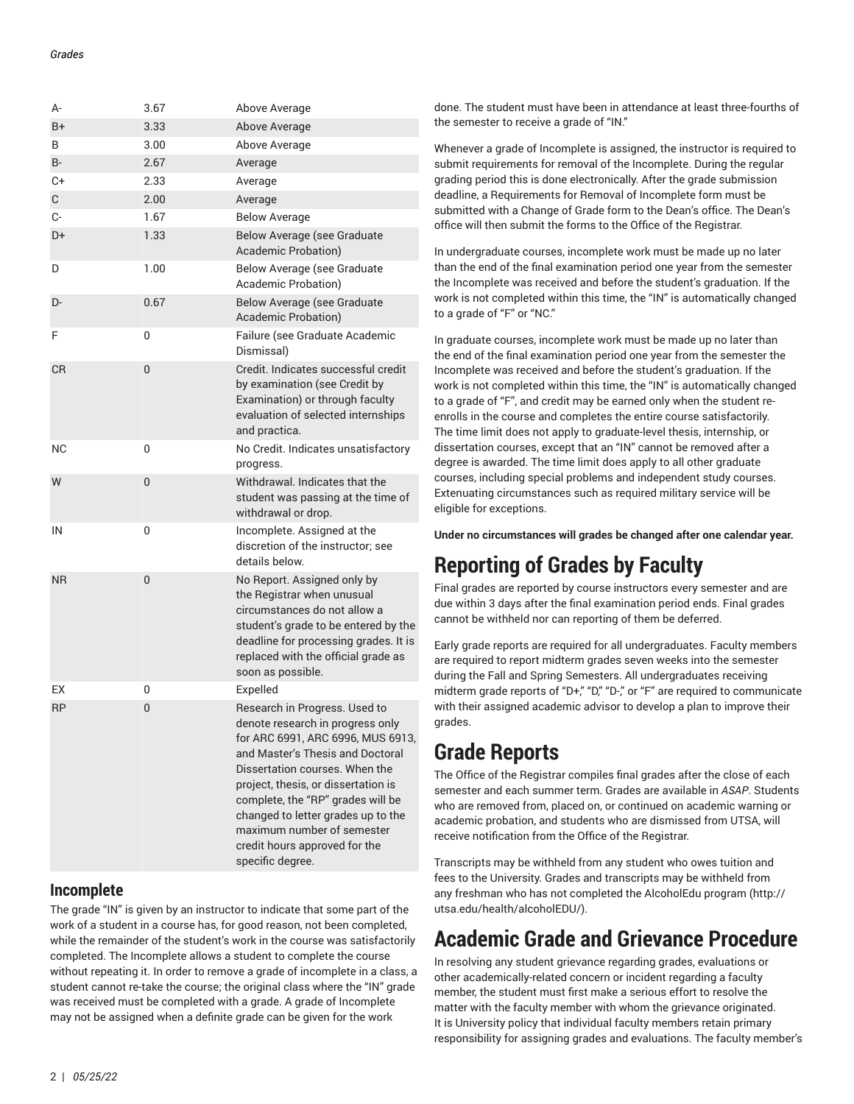| A-        | 3.67 | Above Average                                                                                                                                                                                                                                                                                                                                                                     |
|-----------|------|-----------------------------------------------------------------------------------------------------------------------------------------------------------------------------------------------------------------------------------------------------------------------------------------------------------------------------------------------------------------------------------|
| B+        | 3.33 | Above Average                                                                                                                                                                                                                                                                                                                                                                     |
| B         | 3.00 | Above Average                                                                                                                                                                                                                                                                                                                                                                     |
| $B -$     | 2.67 | Average                                                                                                                                                                                                                                                                                                                                                                           |
| C+        | 2.33 | Average                                                                                                                                                                                                                                                                                                                                                                           |
| С         | 2.00 | Average                                                                                                                                                                                                                                                                                                                                                                           |
| C-        | 1.67 | <b>Below Average</b>                                                                                                                                                                                                                                                                                                                                                              |
| D+        | 1.33 | <b>Below Average (see Graduate</b><br>Academic Probation)                                                                                                                                                                                                                                                                                                                         |
| D         | 1.00 | Below Average (see Graduate<br>Academic Probation)                                                                                                                                                                                                                                                                                                                                |
| D-        | 0.67 | Below Average (see Graduate<br>Academic Probation)                                                                                                                                                                                                                                                                                                                                |
| F         | 0    | Failure (see Graduate Academic<br>Dismissal)                                                                                                                                                                                                                                                                                                                                      |
| CR        | 0    | Credit. Indicates successful credit<br>by examination (see Credit by<br>Examination) or through faculty<br>evaluation of selected internships<br>and practica.                                                                                                                                                                                                                    |
| <b>NC</b> | 0    | No Credit. Indicates unsatisfactory<br>progress.                                                                                                                                                                                                                                                                                                                                  |
| W         | 0    | Withdrawal, Indicates that the<br>student was passing at the time of<br>withdrawal or drop.                                                                                                                                                                                                                                                                                       |
| IN        | 0    | Incomplete. Assigned at the<br>discretion of the instructor; see<br>details below.                                                                                                                                                                                                                                                                                                |
| <b>NR</b> | 0    | No Report. Assigned only by<br>the Registrar when unusual<br>circumstances do not allow a<br>student's grade to be entered by the<br>deadline for processing grades. It is<br>replaced with the official grade as<br>soon as possible.                                                                                                                                            |
| EX        | 0    | Expelled                                                                                                                                                                                                                                                                                                                                                                          |
| <b>RP</b> | 0    | Research in Progress. Used to<br>denote research in progress only<br>for ARC 6991, ARC 6996, MUS 6913,<br>and Master's Thesis and Doctoral<br>Dissertation courses. When the<br>project, thesis, or dissertation is<br>complete, the "RP" grades will be<br>changed to letter grades up to the<br>maximum number of semester<br>credit hours approved for the<br>specific degree. |

## <span id="page-1-0"></span>**Incomplete**

The grade "IN" is given by an instructor to indicate that some part of the work of a student in a course has, for good reason, not been completed, while the remainder of the student's work in the course was satisfactorily completed. The Incomplete allows a student to complete the course without repeating it. In order to remove a grade of incomplete in a class, a student cannot re-take the course; the original class where the "IN" grade was received must be completed with a grade. A grade of Incomplete may not be assigned when a definite grade can be given for the work

done. The student must have been in attendance at least three-fourths of the semester to receive a grade of "IN."

Whenever a grade of Incomplete is assigned, the instructor is required to submit requirements for removal of the Incomplete. During the regular grading period this is done electronically. After the grade submission deadline, a Requirements for Removal of Incomplete form must be submitted with a Change of Grade form to the Dean's office. The Dean's office will then submit the forms to the Office of the Registrar.

In undergraduate courses, incomplete work must be made up no later than the end of the final examination period one year from the semester the Incomplete was received and before the student's graduation. If the work is not completed within this time, the "IN" is automatically changed to a grade of "F" or "NC."

In graduate courses, incomplete work must be made up no later than the end of the final examination period one year from the semester the Incomplete was received and before the student's graduation. If the work is not completed within this time, the "IN" is automatically changed to a grade of "F", and credit may be earned only when the student reenrolls in the course and completes the entire course satisfactorily. The time limit does not apply to graduate-level thesis, internship, or dissertation courses, except that an "IN" cannot be removed after a degree is awarded. The time limit does apply to all other graduate courses, including special problems and independent study courses. Extenuating circumstances such as required military service will be eligible for exceptions.

<span id="page-1-1"></span>**Under no circumstances will grades be changed after one calendar year.**

## **Reporting of Grades by Faculty**

Final grades are reported by course instructors every semester and are due within 3 days after the final examination period ends. Final grades cannot be withheld nor can reporting of them be deferred.

Early grade reports are required for all undergraduates. Faculty members are required to report midterm grades seven weeks into the semester during the Fall and Spring Semesters. All undergraduates receiving midterm grade reports of "D+," "D," "D-," or "F" are required to communicate with their assigned academic advisor to develop a plan to improve their grades.

## <span id="page-1-2"></span>**Grade Reports**

The Office of the Registrar compiles final grades after the close of each semester and each summer term. Grades are available in *ASAP*. Students who are removed from, placed on, or continued on academic warning or academic probation, and students who are dismissed from UTSA, will receive notification from the Office of the Registrar.

Transcripts may be withheld from any student who owes tuition and fees to the University. Grades and transcripts may be withheld from any freshman who has not completed the [AlcoholEdu](http://utsa.edu/health/alcoholEDU/) program [\(http://](http://utsa.edu/health/alcoholEDU/) [utsa.edu/health/alcoholEDU/\)](http://utsa.edu/health/alcoholEDU/).

## <span id="page-1-3"></span>**Academic Grade and Grievance Procedure**

In resolving any student grievance regarding grades, evaluations or other academically-related concern or incident regarding a faculty member, the student must first make a serious effort to resolve the matter with the faculty member with whom the grievance originated. It is University policy that individual faculty members retain primary responsibility for assigning grades and evaluations. The faculty member's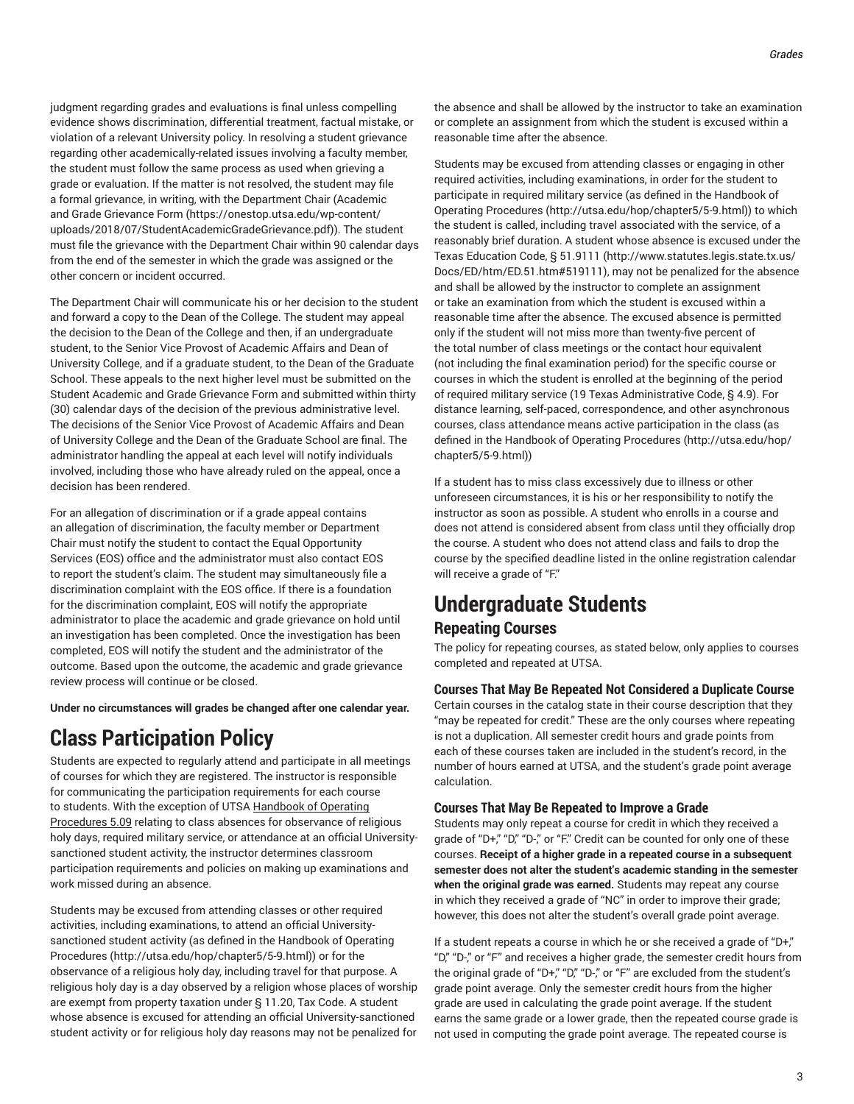judgment regarding grades and evaluations is final unless compelling evidence shows discrimination, differential treatment, factual mistake, or violation of a relevant University policy. In resolving a student grievance regarding other academically-related issues involving a faculty member, the student must follow the same process as used when grieving a grade or evaluation. If the matter is not resolved, the student may file a formal grievance, in writing, with the Department Chair ([Academic](https://onestop.utsa.edu/wp-content/uploads/2018/07/StudentAcademicGradeGrievance.pdf) and Grade [Grievance](https://onestop.utsa.edu/wp-content/uploads/2018/07/StudentAcademicGradeGrievance.pdf) Form ([https://onestop.utsa.edu/wp-content/](https://onestop.utsa.edu/wp-content/uploads/2018/07/StudentAcademicGradeGrievance.pdf) [uploads/2018/07/StudentAcademicGradeGrievance.pdf\)](https://onestop.utsa.edu/wp-content/uploads/2018/07/StudentAcademicGradeGrievance.pdf)). The student must file the grievance with the Department Chair within 90 calendar days from the end of the semester in which the grade was assigned or the other concern or incident occurred.

The Department Chair will communicate his or her decision to the student and forward a copy to the Dean of the College. The student may appeal the decision to the Dean of the College and then, if an undergraduate student, to the Senior Vice Provost of Academic Affairs and Dean of University College, and if a graduate student, to the Dean of the Graduate School. These appeals to the next higher level must be submitted on the Student Academic and Grade Grievance Form and submitted within thirty (30) calendar days of the decision of the previous administrative level. The decisions of the Senior Vice Provost of Academic Affairs and Dean of University College and the Dean of the Graduate School are final. The administrator handling the appeal at each level will notify individuals involved, including those who have already ruled on the appeal, once a decision has been rendered.

For an allegation of discrimination or if a grade appeal contains an allegation of discrimination, the faculty member or Department Chair must notify the student to contact the Equal Opportunity Services (EOS) office and the administrator must also contact EOS to report the student's claim. The student may simultaneously file a discrimination complaint with the EOS office. If there is a foundation for the discrimination complaint, EOS will notify the appropriate administrator to place the academic and grade grievance on hold until an investigation has been completed. Once the investigation has been completed, EOS will notify the student and the administrator of the outcome. Based upon the outcome, the academic and grade grievance review process will continue or be closed.

<span id="page-2-0"></span>**Under no circumstances will grades be changed after one calendar year.**

## **Class Participation Policy**

Students are expected to regularly attend and participate in all meetings of courses for which they are registered. The instructor is responsible for communicating the participation requirements for each course to students. With the exception of UTSA Handbook of Operating Procedures 5.09 relating to class absences for observance of religious holy days, required military service, or attendance at an official Universitysanctioned student activity, the instructor determines classroom participation requirements and policies on making up examinations and work missed during an absence.

Students may be excused from attending classes or other required activities, including examinations, to attend an official Universitysanctioned student activity (as defined in the [Handbook of Operating](http://utsa.edu/hop/chapter5/5-9.html) [Procedures](http://utsa.edu/hop/chapter5/5-9.html) (<http://utsa.edu/hop/chapter5/5-9.html>)) or for the observance of a religious holy day, including travel for that purpose. A religious holy day is a day observed by a religion whose places of worship are exempt from property taxation under § 11.20, Tax Code. A student whose absence is excused for attending an official University-sanctioned student activity or for religious holy day reasons may not be penalized for

the absence and shall be allowed by the instructor to take an examination or complete an assignment from which the student is excused within a reasonable time after the absence.

Students may be excused from attending classes or engaging in other required activities, including examinations, in order for the student to participate in required military service (as defined in the [Handbook of](http://utsa.edu/hop/chapter5/5-9.html) Operating [Procedures \(http://utsa.edu/hop/chapter5/5-9.html\)](http://utsa.edu/hop/chapter5/5-9.html)) to which the student is called, including travel associated with the service, of a reasonably brief duration. A student whose absence is excused under the Texas Education Code, [§ 51.9111 \(http://www.statutes.legis.state.tx.us/](http://www.statutes.legis.state.tx.us/Docs/ED/htm/ED.51.htm#519111) [Docs/ED/htm/ED.51.htm#519111\)](http://www.statutes.legis.state.tx.us/Docs/ED/htm/ED.51.htm#519111), may not be penalized for the absence and shall be allowed by the instructor to complete an assignment or take an examination from which the student is excused within a reasonable time after the absence. The excused absence is permitted only if the student will not miss more than twenty-five percent of the total number of class meetings or the contact hour equivalent (not including the final examination period) for the specific course or courses in which the student is enrolled at the beginning of the period of required military service (19 Texas Administrative Code, § 4.9). For distance learning, self-paced, correspondence, and other asynchronous courses, class attendance means active participation in the class (as defined in the Handbook of Operating [Procedures](http://utsa.edu/hop/chapter5/5-9.html) ([http://utsa.edu/hop/](http://utsa.edu/hop/chapter5/5-9.html) [chapter5/5-9.html](http://utsa.edu/hop/chapter5/5-9.html)))

If a student has to miss class excessively due to illness or other unforeseen circumstances, it is his or her responsibility to notify the instructor as soon as possible. A student who enrolls in a course and does not attend is considered absent from class until they officially drop the course. A student who does not attend class and fails to drop the course by the specified deadline listed in the online registration calendar will receive a grade of "F."

## <span id="page-2-2"></span><span id="page-2-1"></span>**Undergraduate Students Repeating Courses**

The policy for repeating courses, as stated below, only applies to courses completed and repeated at UTSA.

**Courses That May Be Repeated Not Considered a Duplicate Course** Certain courses in the catalog state in their course description that they "may be repeated for credit." These are the only courses where repeating is not a duplication. All semester credit hours and grade points from each of these courses taken are included in the student's record, in the number of hours earned at UTSA, and the student's grade point average calculation.

### **Courses That May Be Repeated to Improve a Grade**

Students may only repeat a course for credit in which they received a grade of "D+," "D," "D-," or "F." Credit can be counted for only one of these courses. **Receipt of a higher grade in a repeated course in a subsequent semester does not alter the student's academic standing in the semester when the original grade was earned.** Students may repeat any course in which they received a grade of "NC" in order to improve their grade; however, this does not alter the student's overall grade point average.

If a student repeats a course in which he or she received a grade of "D+," "D," "D-," or "F" and receives a higher grade, the semester credit hours from the original grade of "D+," "D," "D-," or "F" are excluded from the student's grade point average. Only the semester credit hours from the higher grade are used in calculating the grade point average. If the student earns the same grade or a lower grade, then the repeated course grade is not used in computing the grade point average. The repeated course is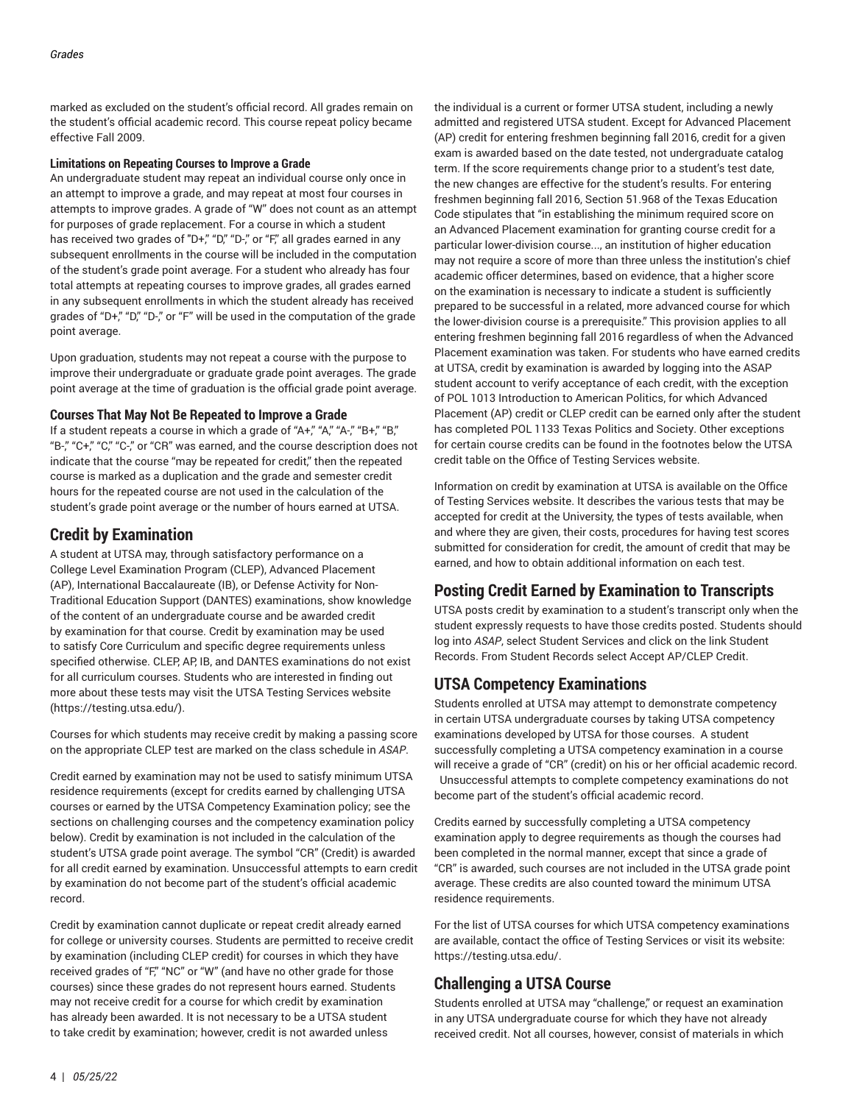marked as excluded on the student's official record. All grades remain on the student's official academic record. This course repeat policy became effective Fall 2009.

#### **Limitations on Repeating Courses to Improve a Grade**

An undergraduate student may repeat an individual course only once in an attempt to improve a grade, and may repeat at most four courses in attempts to improve grades. A grade of "W" does not count as an attempt for purposes of grade replacement. For a course in which a student has received two grades of "D+," "D," "D-," or "F," all grades earned in any subsequent enrollments in the course will be included in the computation of the student's grade point average. For a student who already has four total attempts at repeating courses to improve grades, all grades earned in any subsequent enrollments in which the student already has received grades of "D+," "D," "D-," or "F" will be used in the computation of the grade point average.

Upon graduation, students may not repeat a course with the purpose to improve their undergraduate or graduate grade point averages. The grade point average at the time of graduation is the official grade point average.

#### **Courses That May Not Be Repeated to Improve a Grade**

If a student repeats a course in which a grade of "A+," "A," "A-," "B+," "B," "B-," "C+," "C," "C-," or "CR" was earned, and the course description does not indicate that the course "may be repeated for credit," then the repeated course is marked as a duplication and the grade and semester credit hours for the repeated course are not used in the calculation of the student's grade point average or the number of hours earned at UTSA.

### <span id="page-3-0"></span>**Credit by Examination**

A student at UTSA may, through satisfactory performance on a College Level Examination Program (CLEP), Advanced Placement (AP), International Baccalaureate (IB), or Defense Activity for Non-Traditional Education Support (DANTES) examinations, show knowledge of the content of an undergraduate course and be awarded credit by examination for that course. Credit by examination may be used to satisfy Core Curriculum and specific degree requirements unless specified otherwise. CLEP, AP, IB, and DANTES examinations do not exist for all curriculum courses. Students who are interested in finding out more about these tests may visit the UTSA Testing [Services](https://testing.utsa.edu/) website ([https://testing.utsa.edu/\)](https://testing.utsa.edu/).

Courses for which students may receive credit by making a passing score on the appropriate CLEP test are marked on the class schedule in *ASAP*.

Credit earned by examination may not be used to satisfy minimum UTSA residence requirements (except for credits earned by challenging UTSA courses or earned by the UTSA Competency Examination policy; see the sections on challenging courses and the competency examination policy below). Credit by examination is not included in the calculation of the student's UTSA grade point average. The symbol "CR" (Credit) is awarded for all credit earned by examination. Unsuccessful attempts to earn credit by examination do not become part of the student's official academic record.

Credit by examination cannot duplicate or repeat credit already earned for college or university courses. Students are permitted to receive credit by examination (including CLEP credit) for courses in which they have received grades of "F," "NC" or "W" (and have no other grade for those courses) since these grades do not represent hours earned. Students may not receive credit for a course for which credit by examination has already been awarded. It is not necessary to be a UTSA student to take credit by examination; however, credit is not awarded unless

the individual is a current or former UTSA student, including a newly admitted and registered UTSA student. Except for Advanced Placement (AP) credit for entering freshmen beginning fall 2016, credit for a given exam is awarded based on the date tested, not undergraduate catalog term. If the score requirements change prior to a student's test date, the new changes are effective for the student's results. For entering freshmen beginning fall 2016, Section 51.968 of the Texas Education Code stipulates that "in establishing the minimum required score on an Advanced Placement examination for granting course credit for a particular lower-division course..., an institution of higher education may not require a score of more than three unless the institution's chief academic officer determines, based on evidence, that a higher score on the examination is necessary to indicate a student is sufficiently prepared to be successful in a related, more advanced course for which the lower-division course is a prerequisite." This provision applies to all entering freshmen beginning fall 2016 regardless of when the Advanced Placement examination was taken. For students who have earned credits at UTSA, credit by examination is awarded by logging into the ASAP student account to verify acceptance of each credit, with the exception of POL 1013 Introduction to American Politics, for which Advanced Placement (AP) credit or CLEP credit can be earned only after the student has completed POL 1133 Texas Politics and Society. Other exceptions for certain course credits can be found in the footnotes below the UTSA credit table on the Office of Testing Services website.

Information on credit by examination at UTSA is available on the Office of Testing Services website. It describes the various tests that may be accepted for credit at the University, the types of tests available, when and where they are given, their costs, procedures for having test scores submitted for consideration for credit, the amount of credit that may be earned, and how to obtain additional information on each test.

## <span id="page-3-1"></span>**Posting Credit Earned by Examination to Transcripts**

UTSA posts credit by examination to a student's transcript only when the student expressly requests to have those credits posted. Students should log into *ASAP*, select Student Services and click on the link Student Records. From Student Records select Accept AP/CLEP Credit.

### <span id="page-3-2"></span>**UTSA Competency Examinations**

Students enrolled at UTSA may attempt to demonstrate competency in certain UTSA undergraduate courses by taking UTSA competency examinations developed by UTSA for those courses. A student successfully completing a UTSA competency examination in a course will receive a grade of "CR" (credit) on his or her official academic record. Unsuccessful attempts to complete competency examinations do not become part of the student's official academic record.

Credits earned by successfully completing a UTSA competency examination apply to degree requirements as though the courses had been completed in the normal manner, except that since a grade of "CR" is awarded, such courses are not included in the UTSA grade point average. These credits are also counted toward the minimum UTSA residence requirements.

For the list of UTSA courses for which UTSA competency examinations are available, contact the office of Testing Services or visit its website: [https://testing.utsa.edu/.](https://testing.utsa.edu/)

## <span id="page-3-3"></span>**Challenging a UTSA Course**

Students enrolled at UTSA may "challenge," or request an examination in any UTSA undergraduate course for which they have not already received credit. Not all courses, however, consist of materials in which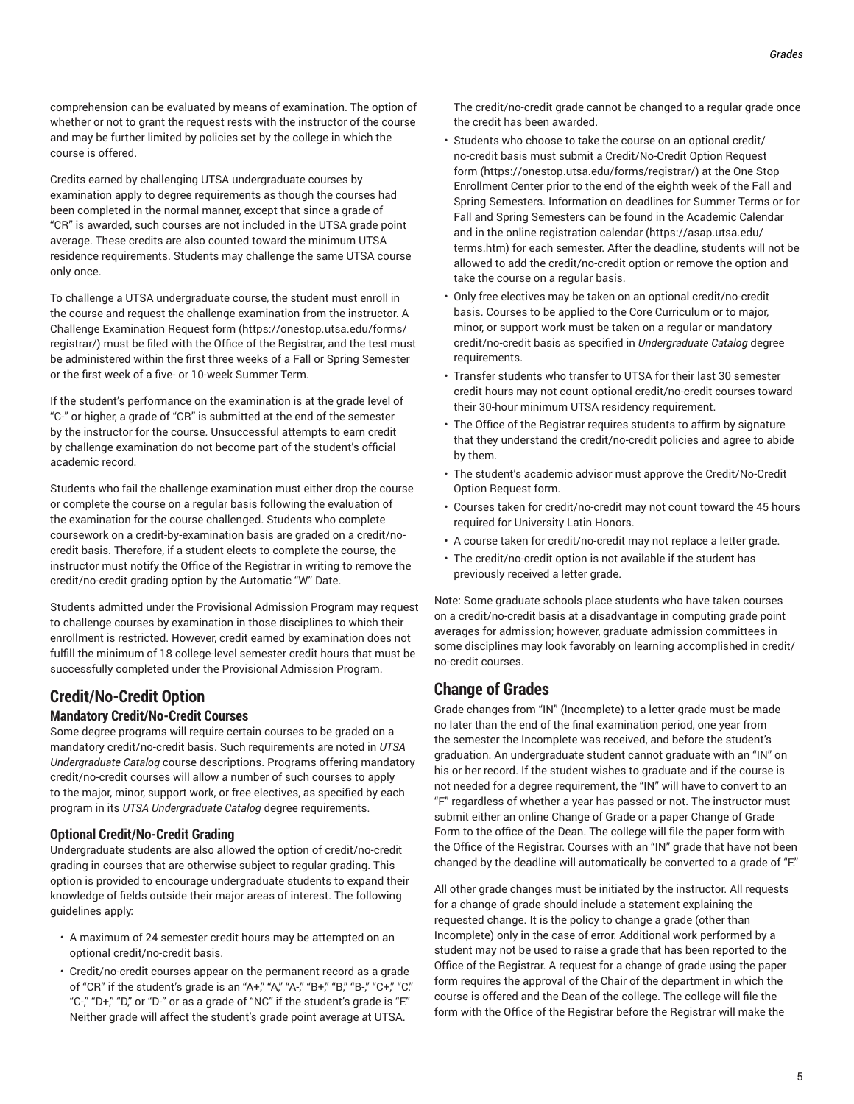comprehension can be evaluated by means of examination. The option of whether or not to grant the request rests with the instructor of the course and may be further limited by policies set by the college in which the course is offered.

Credits earned by challenging UTSA undergraduate courses by examination apply to degree requirements as though the courses had been completed in the normal manner, except that since a grade of "CR" is awarded, such courses are not included in the UTSA grade point average. These credits are also counted toward the minimum UTSA residence requirements. Students may challenge the same UTSA course only once.

To challenge a UTSA undergraduate course, the student must enroll in the course and request the challenge examination from the instructor. A [Challenge Examination Request form](https://onestop.utsa.edu/forms/registrar/) ([https://onestop.utsa.edu/forms/](https://onestop.utsa.edu/forms/registrar/) [registrar/\)](https://onestop.utsa.edu/forms/registrar/) must be filed with the Office of the Registrar, and the test must be administered within the first three weeks of a Fall or Spring Semester or the first week of a five- or 10-week Summer Term.

If the student's performance on the examination is at the grade level of "C-" or higher, a grade of "CR" is submitted at the end of the semester by the instructor for the course. Unsuccessful attempts to earn credit by challenge examination do not become part of the student's official academic record.

Students who fail the challenge examination must either drop the course or complete the course on a regular basis following the evaluation of the examination for the course challenged. Students who complete coursework on a credit-by-examination basis are graded on a credit/nocredit basis. Therefore, if a student elects to complete the course, the instructor must notify the Office of the Registrar in writing to remove the credit/no-credit grading option by the Automatic "W" Date.

Students admitted under the Provisional Admission Program may request to challenge courses by examination in those disciplines to which their enrollment is restricted. However, credit earned by examination does not fulfill the minimum of 18 college-level semester credit hours that must be successfully completed under the Provisional Admission Program.

### <span id="page-4-0"></span>**Credit/No-Credit Option**

#### **Mandatory Credit/No-Credit Courses**

Some degree programs will require certain courses to be graded on a mandatory credit/no-credit basis. Such requirements are noted in *UTSA Undergraduate Catalog* course descriptions. Programs offering mandatory credit/no-credit courses will allow a number of such courses to apply to the major, minor, support work, or free electives, as specified by each program in its *UTSA Undergraduate Catalog* degree requirements.

#### **Optional Credit/No-Credit Grading**

Undergraduate students are also allowed the option of credit/no-credit grading in courses that are otherwise subject to regular grading. This option is provided to encourage undergraduate students to expand their knowledge of fields outside their major areas of interest. The following guidelines apply:

- A maximum of 24 semester credit hours may be attempted on an optional credit/no-credit basis.
- Credit/no-credit courses appear on the permanent record as a grade of "CR" if the student's grade is an "A+," "A," "A-," "B+," "B," "B-," "C+," "C," "C-," "D+," "D," or "D-" or as a grade of "NC" if the student's grade is "F." Neither grade will affect the student's grade point average at UTSA.

The credit/no-credit grade cannot be changed to a regular grade once the credit has been awarded.

- Students who choose to take the course on an optional credit/ no-credit basis must submit a [Credit/No-Credit](https://onestop.utsa.edu/forms/registrar/) Option Request [form](https://onestop.utsa.edu/forms/registrar/) [\(https://onestop.utsa.edu/forms/registrar/\)](https://onestop.utsa.edu/forms/registrar/) at the One Stop Enrollment Center prior to the end of the eighth week of the Fall and Spring Semesters. Information on deadlines for Summer Terms or for Fall and Spring Semesters can be found in the Academic Calendar and in the online [registration](https://asap.utsa.edu/terms.htm) calendar ([https://asap.utsa.edu/](https://asap.utsa.edu/terms.htm) [terms.htm\)](https://asap.utsa.edu/terms.htm) for each semester. After the deadline, students will not be allowed to add the credit/no-credit option or remove the option and take the course on a regular basis.
- Only free electives may be taken on an optional credit/no-credit basis. Courses to be applied to the Core Curriculum or to major, minor, or support work must be taken on a regular or mandatory credit/no-credit basis as specified in *Undergraduate Catalog* degree requirements.
- Transfer students who transfer to UTSA for their last 30 semester credit hours may not count optional credit/no-credit courses toward their 30-hour minimum UTSA residency requirement.
- The Office of the Registrar requires students to affirm by signature that they understand the credit/no-credit policies and agree to abide by them.
- The student's academic advisor must approve the Credit/No-Credit Option Request form.
- Courses taken for credit/no-credit may not count toward the 45 hours required for University Latin Honors.
- A course taken for credit/no-credit may not replace a letter grade.
- The credit/no-credit option is not available if the student has previously received a letter grade.

Note: Some graduate schools place students who have taken courses on a credit/no-credit basis at a disadvantage in computing grade point averages for admission; however, graduate admission committees in some disciplines may look favorably on learning accomplished in credit/ no-credit courses.

## <span id="page-4-1"></span>**Change of Grades**

Grade changes from "IN" (Incomplete) to a letter grade must be made no later than the end of the final examination period, one year from the semester the Incomplete was received, and before the student's graduation. An undergraduate student cannot graduate with an "IN" on his or her record. If the student wishes to graduate and if the course is not needed for a degree requirement, the "IN" will have to convert to an "F" regardless of whether a year has passed or not. The instructor must submit either an online Change of Grade or a paper Change of Grade Form to the office of the Dean. The college will file the paper form with the Office of the Registrar. Courses with an "IN" grade that have not been changed by the deadline will automatically be converted to a grade of "F."

All other grade changes must be initiated by the instructor. All requests for a change of grade should include a statement explaining the requested change. It is the policy to change a grade (other than Incomplete) only in the case of error. Additional work performed by a student may not be used to raise a grade that has been reported to the Office of the Registrar. A request for a change of grade using the paper form requires the approval of the Chair of the department in which the course is offered and the Dean of the college. The college will file the form with the Office of the Registrar before the Registrar will make the